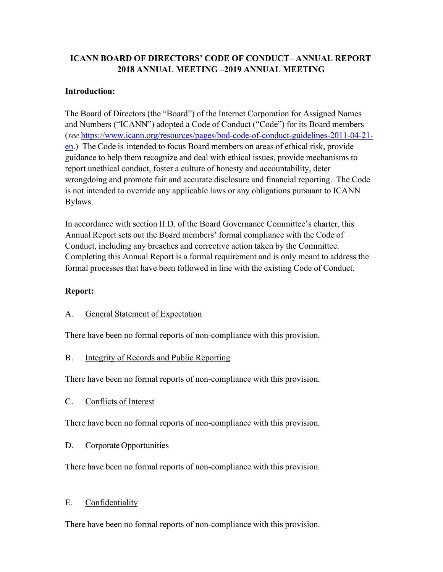## **ICANN BOARD OF DIRECTORS' CODE OF CONDUCT– ANNUAL REPORT 2018 ANNUAL MEETING –2019 ANNUAL MEETING**

#### **Introduction:**

The Board of Directors (the "Board") of the Internet Corporation for Assigned Names and Numbers ("ICANN") adopted a Code of Conduct ("Code") for its Board members (*see* https://www.icann.org/resources/pages/bod-code-of-conduct-guidelines-2011-04-21 en.) The Code is intended to focus Board members on areas of ethical risk, provide guidance to help them recognize and deal with ethical issues, provide mechanisms to report unethical conduct, foster a culture of honesty and accountability, deter wrongdoing and promote fair and accurate disclosure and financial reporting. The Code is not intended to override any applicable laws or any obligations pursuant to ICANN Bylaws.

In accordance with section II.D. of the Board Governance Committee's charter, this Annual Report sets out the Board members' formal compliance with the Code of Conduct, including any breaches and corrective action taken by the Committee. Completing this Annual Report is a formal requirement and is only meant to address the formal processes that have been followed in line with the existing Code of Conduct.

#### **Report:**

#### A. General Statement of Expectation

There have been no formal reports of non-compliance with this provision.

#### B. Integrity of Records and Public Reporting

There have been no formal reports of non-compliance with this provision.

#### C. Conflicts of Interest

There have been no formal reports of non-compliance with this provision.

## D. Corporate Opportunities

There have been no formal reports of non-compliance with this provision.

## E. Confidentiality

There have been no formal reports of non-compliance with this provision.